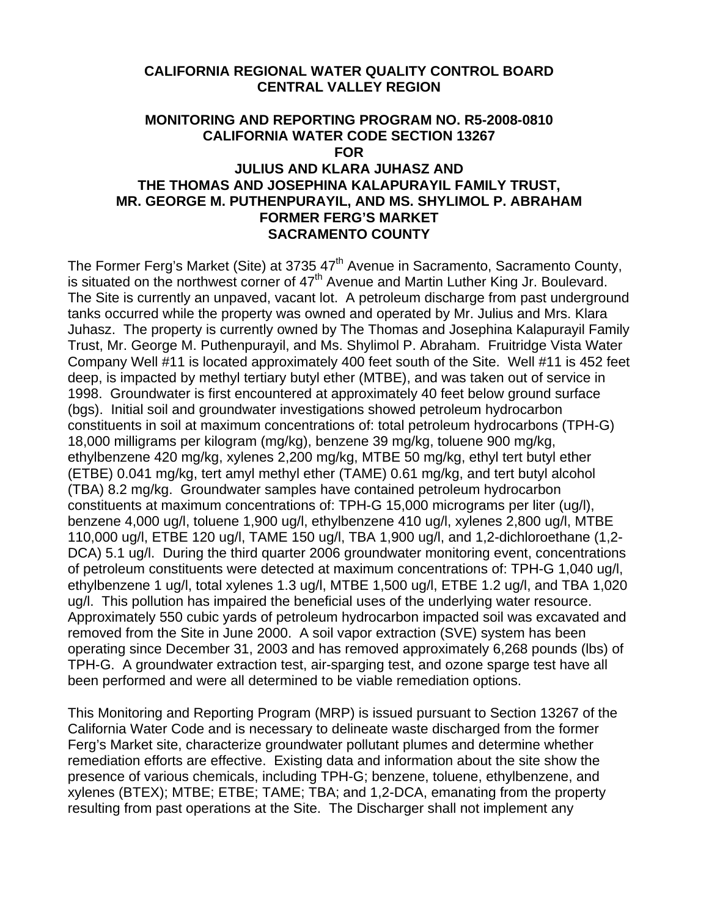## **CALIFORNIA REGIONAL WATER QUALITY CONTROL BOARD CENTRAL VALLEY REGION**

## **MONITORING AND REPORTING PROGRAM NO. R5-2008-0810 CALIFORNIA WATER CODE SECTION 13267 FOR JULIUS AND KLARA JUHASZ AND THE THOMAS AND JOSEPHINA KALAPURAYIL FAMILY TRUST, MR. GEORGE M. PUTHENPURAYIL, AND MS. SHYLIMOL P. ABRAHAM FORMER FERG'S MARKET SACRAMENTO COUNTY**

The Former Ferg's Market (Site) at 3735 47<sup>th</sup> Avenue in Sacramento, Sacramento County, is situated on the northwest corner of  $47<sup>th</sup>$  Avenue and Martin Luther King Jr. Boulevard. The Site is currently an unpaved, vacant lot. A petroleum discharge from past underground tanks occurred while the property was owned and operated by Mr. Julius and Mrs. Klara Juhasz. The property is currently owned by The Thomas and Josephina Kalapurayil Family Trust, Mr. George M. Puthenpurayil, and Ms. Shylimol P. Abraham. Fruitridge Vista Water Company Well #11 is located approximately 400 feet south of the Site. Well #11 is 452 feet deep, is impacted by methyl tertiary butyl ether (MTBE), and was taken out of service in 1998. Groundwater is first encountered at approximately 40 feet below ground surface (bgs). Initial soil and groundwater investigations showed petroleum hydrocarbon constituents in soil at maximum concentrations of: total petroleum hydrocarbons (TPH-G) 18,000 milligrams per kilogram (mg/kg), benzene 39 mg/kg, toluene 900 mg/kg, ethylbenzene 420 mg/kg, xylenes 2,200 mg/kg, MTBE 50 mg/kg, ethyl tert butyl ether (ETBE) 0.041 mg/kg, tert amyl methyl ether (TAME) 0.61 mg/kg, and tert butyl alcohol (TBA) 8.2 mg/kg. Groundwater samples have contained petroleum hydrocarbon constituents at maximum concentrations of: TPH-G 15,000 micrograms per liter (ug/l), benzene 4,000 ug/l, toluene 1,900 ug/l, ethylbenzene 410 ug/l, xylenes 2,800 ug/l, MTBE 110,000 ug/l, ETBE 120 ug/l, TAME 150 ug/l, TBA 1,900 ug/l, and 1,2-dichloroethane (1,2- DCA) 5.1 ug/l. During the third quarter 2006 groundwater monitoring event, concentrations of petroleum constituents were detected at maximum concentrations of: TPH-G 1,040 ug/l, ethylbenzene 1 ug/l, total xylenes 1.3 ug/l, MTBE 1,500 ug/l, ETBE 1.2 ug/l, and TBA 1,020 ug/l. This pollution has impaired the beneficial uses of the underlying water resource. Approximately 550 cubic yards of petroleum hydrocarbon impacted soil was excavated and removed from the Site in June 2000. A soil vapor extraction (SVE) system has been operating since December 31, 2003 and has removed approximately 6,268 pounds (lbs) of TPH-G. A groundwater extraction test, air-sparging test, and ozone sparge test have all been performed and were all determined to be viable remediation options.

This Monitoring and Reporting Program (MRP) is issued pursuant to Section 13267 of the California Water Code and is necessary to delineate waste discharged from the former Ferg's Market site, characterize groundwater pollutant plumes and determine whether remediation efforts are effective. Existing data and information about the site show the presence of various chemicals, including TPH-G; benzene, toluene, ethylbenzene, and xylenes (BTEX); MTBE; ETBE; TAME; TBA; and 1,2-DCA, emanating from the property resulting from past operations at the Site. The Discharger shall not implement any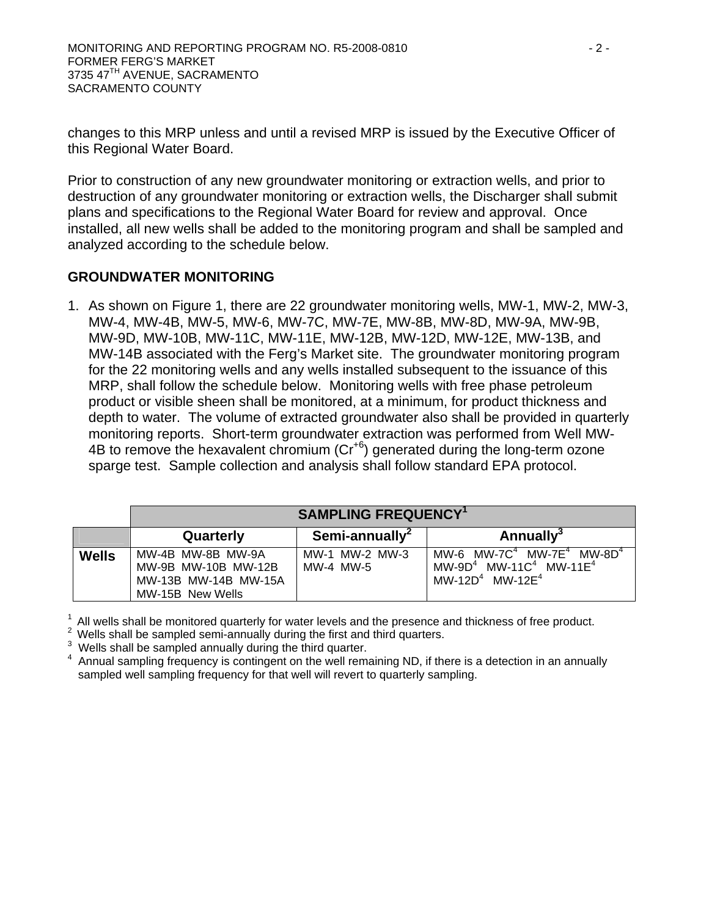changes to this MRP unless and until a revised MRP is issued by the Executive Officer of this Regional Water Board.

Prior to construction of any new groundwater monitoring or extraction wells, and prior to destruction of any groundwater monitoring or extraction wells, the Discharger shall submit plans and specifications to the Regional Water Board for review and approval. Once installed, all new wells shall be added to the monitoring program and shall be sampled and analyzed according to the schedule below.

## **GROUNDWATER MONITORING**

1. As shown on Figure 1, there are 22 groundwater monitoring wells, MW-1, MW-2, MW-3, MW-4, MW-4B, MW-5, MW-6, MW-7C, MW-7E, MW-8B, MW-8D, MW-9A, MW-9B, MW-9D, MW-10B, MW-11C, MW-11E, MW-12B, MW-12D, MW-12E, MW-13B, and MW-14B associated with the Ferg's Market site. The groundwater monitoring program for the 22 monitoring wells and any wells installed subsequent to the issuance of this MRP, shall follow the schedule below. Monitoring wells with free phase petroleum product or visible sheen shall be monitored, at a minimum, for product thickness and depth to water. The volume of extracted groundwater also shall be provided in quarterly monitoring reports. Short-term groundwater extraction was performed from Well MW-4B to remove the hexavalent chromium (Cr+6) generated during the long-term ozone sparge test. Sample collection and analysis shall follow standard EPA protocol.

|              | <b>SAMPLING FREQUENCY<sup>1</sup></b>                                                |                             |                                                                                                                                   |
|--------------|--------------------------------------------------------------------------------------|-----------------------------|-----------------------------------------------------------------------------------------------------------------------------------|
|              | Quarterly                                                                            | Semi-annually <sup>2</sup>  | <b>Annually</b> <sup>3</sup>                                                                                                      |
| <b>Wells</b> | MW-4B MW-8B MW-9A<br>MW-9B MW-10B MW-12B<br>MW-13B MW-14B MW-15A<br>MW-15B New Wells | MW-1 MW-2 MW-3<br>MW-4 MW-5 | MW-6 MW-7 $C^4$ MW-7E <sup>4</sup> MW-8D <sup>4</sup><br>$MW-9D4$ MW-11C <sup>4</sup> MW-11E <sup>4</sup><br>$MW-12D4$ MW-12 $E4$ |

<sup>1</sup> All wells shall be monitored quarterly for water levels and the presence and thickness of free product. <sup>2</sup> Wells shall be sampled semi-annually during the first and third quarters.

 $\frac{3}{4}$  Wells shall be sampled annually during the third quarter.

 Annual sampling frequency is contingent on the well remaining ND, if there is a detection in an annually sampled well sampling frequency for that well will revert to quarterly sampling.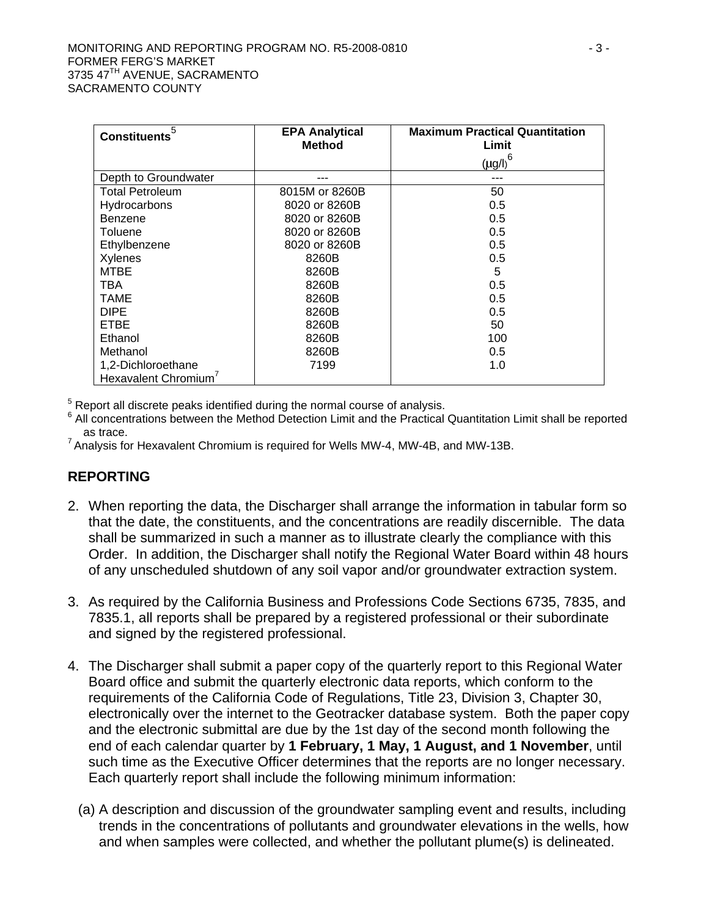| <b>Constituents</b>    | <b>EPA Analytical</b><br><b>Method</b> | <b>Maximum Practical Quantitation</b><br>Limit  |
|------------------------|----------------------------------------|-------------------------------------------------|
|                        |                                        | $\left(\underline{\mu}\underline{g}/I\right)^6$ |
| Depth to Groundwater   |                                        |                                                 |
| <b>Total Petroleum</b> | 8015M or 8260B                         | 50                                              |
| Hydrocarbons           | 8020 or 8260B                          | 0.5                                             |
| Benzene                | 8020 or 8260B                          | 0.5                                             |
| Toluene                | 8020 or 8260B                          | 0.5                                             |
| Ethylbenzene           | 8020 or 8260B                          | 0.5                                             |
| Xylenes                | 8260B                                  | 0.5                                             |
| <b>MTBE</b>            | 8260B                                  | 5                                               |
| TBA                    | 8260B                                  | 0.5                                             |
| <b>TAME</b>            | 8260B                                  | 0.5                                             |
| <b>DIPE</b>            | 8260B                                  | 0.5                                             |
| <b>ETBE</b>            | 8260B                                  | 50                                              |
| Ethanol                | 8260B                                  | 100                                             |
| Methanol               | 8260B                                  | 0.5                                             |
| 1,2-Dichloroethane     | 7199                                   | 1.0                                             |
| Hexavalent Chromium    |                                        |                                                 |

<sup>5</sup> Report all discrete peaks identified during the normal course of analysis.<br><sup>6</sup> All concentrations between the Method Detection Limit and the Practical.

 $6$  All concentrations between the Method Detection Limit and the Practical Quantitation Limit shall be reported as trace.<br><sup>7</sup> Analysis for Hexavalent Chromium is required for Wells MW-4, MW-4B, and MW-13B.

## **REPORTING**

- 2. When reporting the data, the Discharger shall arrange the information in tabular form so that the date, the constituents, and the concentrations are readily discernible. The data shall be summarized in such a manner as to illustrate clearly the compliance with this Order. In addition, the Discharger shall notify the Regional Water Board within 48 hours of any unscheduled shutdown of any soil vapor and/or groundwater extraction system.
- 3. As required by the California Business and Professions Code Sections 6735, 7835, and 7835.1, all reports shall be prepared by a registered professional or their subordinate and signed by the registered professional.
- 4. The Discharger shall submit a paper copy of the quarterly report to this Regional Water Board office and submit the quarterly electronic data reports, which conform to the requirements of the California Code of Regulations, Title 23, Division 3, Chapter 30, electronically over the internet to the Geotracker database system. Both the paper copy and the electronic submittal are due by the 1st day of the second month following the end of each calendar quarter by **1 February, 1 May, 1 August, and 1 November**, until such time as the Executive Officer determines that the reports are no longer necessary. Each quarterly report shall include the following minimum information:
	- (a) A description and discussion of the groundwater sampling event and results, including trends in the concentrations of pollutants and groundwater elevations in the wells, how and when samples were collected, and whether the pollutant plume(s) is delineated.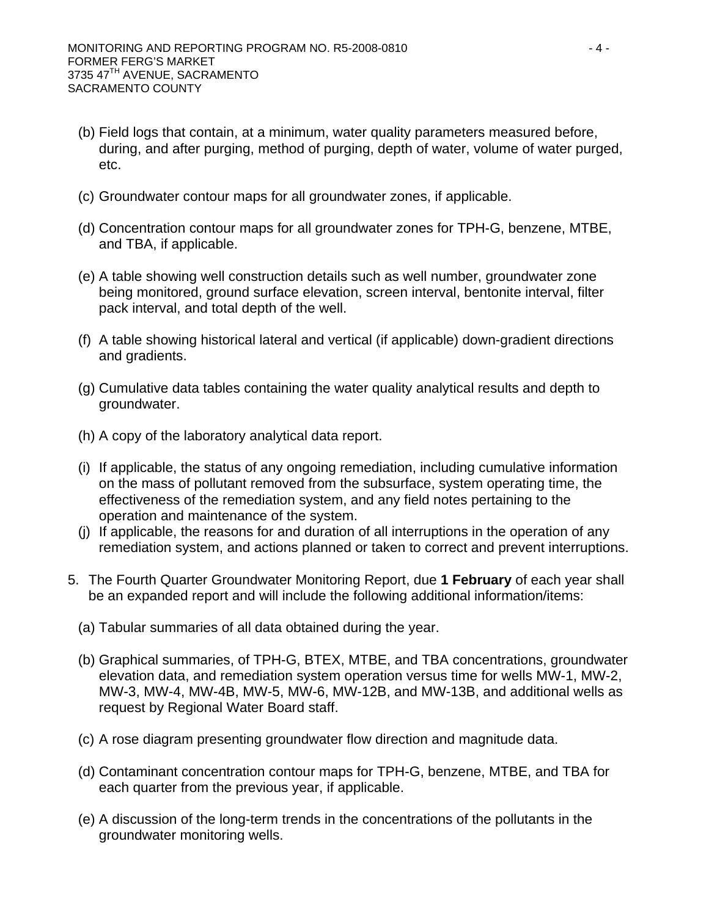- (b) Field logs that contain, at a minimum, water quality parameters measured before, during, and after purging, method of purging, depth of water, volume of water purged, etc.
- (c) Groundwater contour maps for all groundwater zones, if applicable.
- (d) Concentration contour maps for all groundwater zones for TPH-G, benzene, MTBE, and TBA, if applicable.
- (e) A table showing well construction details such as well number, groundwater zone being monitored, ground surface elevation, screen interval, bentonite interval, filter pack interval, and total depth of the well.
- (f) A table showing historical lateral and vertical (if applicable) down-gradient directions and gradients.
- (g) Cumulative data tables containing the water quality analytical results and depth to groundwater.
- (h) A copy of the laboratory analytical data report.
- (i) If applicable, the status of any ongoing remediation, including cumulative information on the mass of pollutant removed from the subsurface, system operating time, the effectiveness of the remediation system, and any field notes pertaining to the operation and maintenance of the system.
- (j) If applicable, the reasons for and duration of all interruptions in the operation of any remediation system, and actions planned or taken to correct and prevent interruptions.
- 5. The Fourth Quarter Groundwater Monitoring Report, due **1 February** of each year shall be an expanded report and will include the following additional information/items:
	- (a) Tabular summaries of all data obtained during the year.
	- (b) Graphical summaries, of TPH-G, BTEX, MTBE, and TBA concentrations, groundwater elevation data, and remediation system operation versus time for wells MW-1, MW-2, MW-3, MW-4, MW-4B, MW-5, MW-6, MW-12B, and MW-13B, and additional wells as request by Regional Water Board staff.
	- (c) A rose diagram presenting groundwater flow direction and magnitude data.
	- (d) Contaminant concentration contour maps for TPH-G, benzene, MTBE, and TBA for each quarter from the previous year, if applicable.
	- (e) A discussion of the long-term trends in the concentrations of the pollutants in the groundwater monitoring wells.